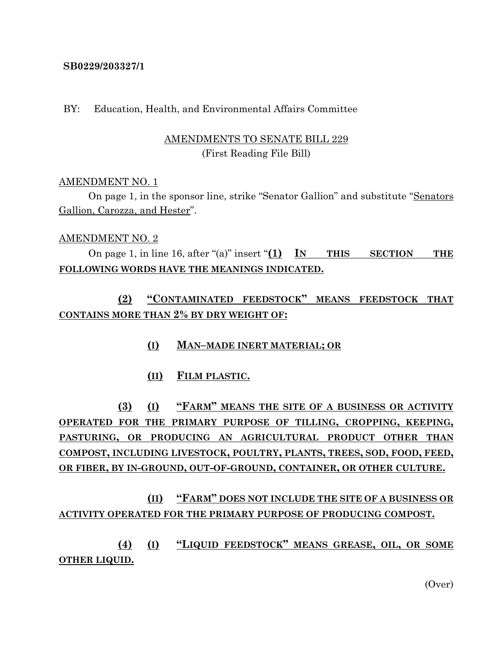### **SB0229/203327/1**

### BY: Education, Health, and Environmental Affairs Committee

### AMENDMENTS TO SENATE BILL 229 (First Reading File Bill)

### AMENDMENT NO. 1

On page 1, in the sponsor line, strike "Senator Gallion" and substitute "Senators Gallion, Carozza, and Hester".

### AMENDMENT NO. 2

On page 1, in line 16, after "(a)" insert "**(1) IN THIS SECTION THE FOLLOWING WORDS HAVE THE MEANINGS INDICATED.**

**(2) "CONTAMINATED FEEDSTOCK" MEANS FEEDSTOCK THAT CONTAINS MORE THAN 2% BY DRY WEIGHT OF:**

- **(I) MAN–MADE INERT MATERIAL; OR**
- **(II) FILM PLASTIC.**

**(3) (I) "FARM" MEANS THE SITE OF A BUSINESS OR ACTIVITY OPERATED FOR THE PRIMARY PURPOSE OF TILLING, CROPPING, KEEPING, PASTURING, OR PRODUCING AN AGRICULTURAL PRODUCT OTHER THAN COMPOST, INCLUDING LIVESTOCK, POULTRY, PLANTS, TREES, SOD, FOOD, FEED, OR FIBER, BY IN-GROUND, OUT-OF-GROUND, CONTAINER, OR OTHER CULTURE.**

# **(II) "FARM" DOES NOT INCLUDE THE SITE OF A BUSINESS OR ACTIVITY OPERATED FOR THE PRIMARY PURPOSE OF PRODUCING COMPOST.**

**(4) (I) "LIQUID FEEDSTOCK" MEANS GREASE, OIL, OR SOME OTHER LIQUID.**

(Over)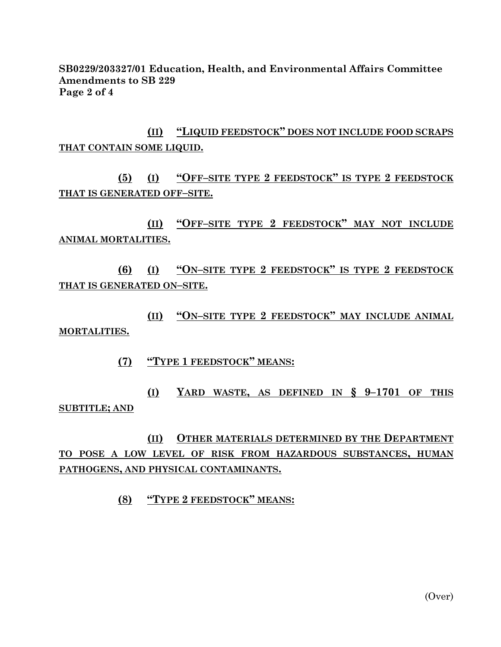**SB0229/203327/01 Education, Health, and Environmental Affairs Committee Amendments to SB 229 Page 2 of 4**

**(II) "LIQUID FEEDSTOCK" DOES NOT INCLUDE FOOD SCRAPS THAT CONTAIN SOME LIQUID.**

**(5) (I) "OFF–SITE TYPE 2 FEEDSTOCK" IS TYPE 2 FEEDSTOCK THAT IS GENERATED OFF–SITE.**

**(II) "OFF–SITE TYPE 2 FEEDSTOCK" MAY NOT INCLUDE ANIMAL MORTALITIES.**

**(6) (I) "ON–SITE TYPE 2 FEEDSTOCK" IS TYPE 2 FEEDSTOCK THAT IS GENERATED ON–SITE.**

**(II) "ON–SITE TYPE 2 FEEDSTOCK" MAY INCLUDE ANIMAL MORTALITIES.**

**(7) "TYPE 1 FEEDSTOCK" MEANS:**

**(I) YARD WASTE, AS DEFINED IN § 9–1701 OF THIS SUBTITLE; AND**

**(II) OTHER MATERIALS DETERMINED BY THE DEPARTMENT TO POSE A LOW LEVEL OF RISK FROM HAZARDOUS SUBSTANCES, HUMAN PATHOGENS, AND PHYSICAL CONTAMINANTS.**

**(8) "TYPE 2 FEEDSTOCK" MEANS:**

(Over)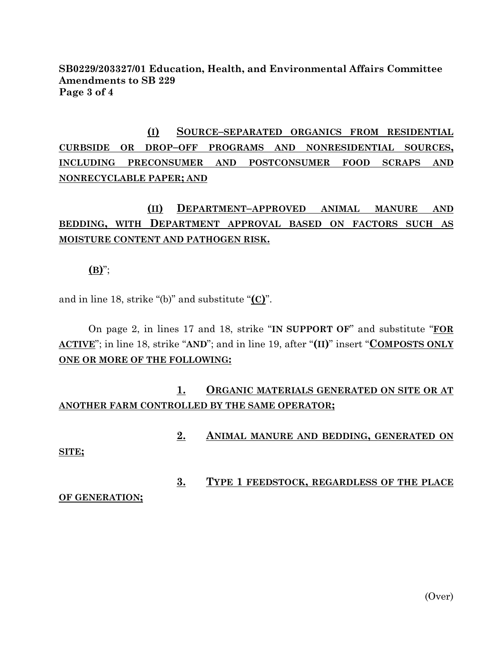### **SB0229/203327/01 Education, Health, and Environmental Affairs Committee Amendments to SB 229 Page 3 of 4**

# **(I) SOURCE–SEPARATED ORGANICS FROM RESIDENTIAL CURBSIDE OR DROP–OFF PROGRAMS AND NONRESIDENTIAL SOURCES, INCLUDING PRECONSUMER AND POSTCONSUMER FOOD SCRAPS AND NONRECYCLABLE PAPER; AND**

# **(II) DEPARTMENT–APPROVED ANIMAL MANURE AND BEDDING, WITH DEPARTMENT APPROVAL BASED ON FACTORS SUCH AS MOISTURE CONTENT AND PATHOGEN RISK.**

**(B)**";

and in line 18, strike "(b)" and substitute "**(C)**".

On page 2, in lines 17 and 18, strike "**IN SUPPORT OF**" and substitute "**FOR ACTIVE**"; in line 18, strike "**AND**"; and in line 19, after "**(II)**" insert "**COMPOSTS ONLY ONE OR MORE OF THE FOLLOWING:**

## **1. ORGANIC MATERIALS GENERATED ON SITE OR AT ANOTHER FARM CONTROLLED BY THE SAME OPERATOR;**

**2. ANIMAL MANURE AND BEDDING, GENERATED ON** 

### **SITE;**

## **3. TYPE 1 FEEDSTOCK, REGARDLESS OF THE PLACE**

**OF GENERATION;**